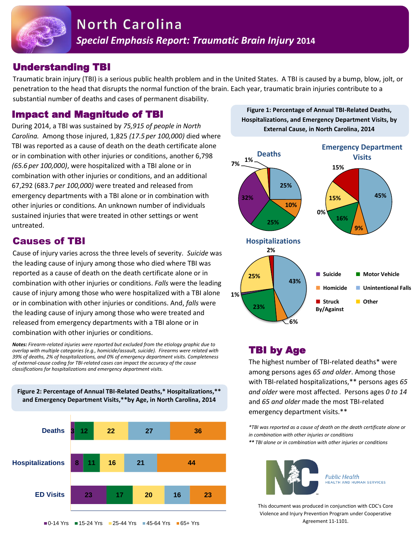

### Understanding TBI

Traumatic brain injury (TBI) is a serious public health problem and in the United States. A TBI is caused by a bump, blow, jolt, or penetration to the head that disrupts the normal function of the brain. Each year, traumatic brain injuries contribute to a substantial number of deaths and cases of permanent disability.

#### Impact and Magnitude of TBI

During 2014, a TBI was sustained by *75,915 of people in North Carolina.* Among those injured, 1,825 *(17.5 per 100,000)* died where TBI was reported as a cause of death on the death certificate alone or in combination with other injuries or conditions, another 6,798 *(65.6 per 100,000)*, were hospitalized with a TBI alone or in combination with other injuries or conditions, and an additional 67,292 (683.7 *per 100,000)* were treated and released from emergency departments with a TBI alone or in combination with other injuries or conditions. An unknown number of individuals sustained injuries that were treated in other settings or went untreated.

#### Causes of TBI

Cause of injury varies across the three levels of severity. *Suicide* was the leading cause of injury among those who died where TBI was reported as a cause of death on the death certificate alone or in combination with other injuries or conditions. *Falls* were the leading cause of injury among those who were hospitalized with a TBI alone or in combination with other injuries or conditions. And, *falls* were the leading cause of injury among those who were treated and released from emergency departments with a TBI alone or in combination with other injuries or conditions.

*Notes: Firearm-related injuries were reported but excluded from the etiology graphic due to overlap with multiple categories (e.g., homicide/assault, suicide). Firearms were related with 39% of deaths, 2% of hospitalizations, and 0% of emergency department visits. Completeness of external-cause coding for TBI-related cases can impact the accuracy of the cause classifications for hospitalizations and emergency department visits.* 

**Figure 2: Percentage of Annual TBI-Related Deaths,\* Hospitalizations,\*\*** 



**Figure 1: Percentage of Annual TBI-Related Deaths, Hospitalizations, and Emergency Department Visits, by External Cause, in North Carolina, 2014**



# TBI by Age

The highest number of TBI-related deaths\* were among persons ages *65 and older*. Among those with TBI-related hospitalizations,\*\* persons ages *65 and older* were most affected. Persons ages *0 to 14* and *65 and older* made the most TBI-related emergency department visits.\*\*

*\*TBI was reported as a cause of death on the death certificate alone or in combination with other injuries or conditions \*\* TBI alone or in combination with other injuries or conditions*



**Public Health HEALTH AND HUMAN SERVICES** 

This document was produced in conjunction with CDC's Core Violence and Injury Prevention Program under Cooperative Agreement 11-1101.